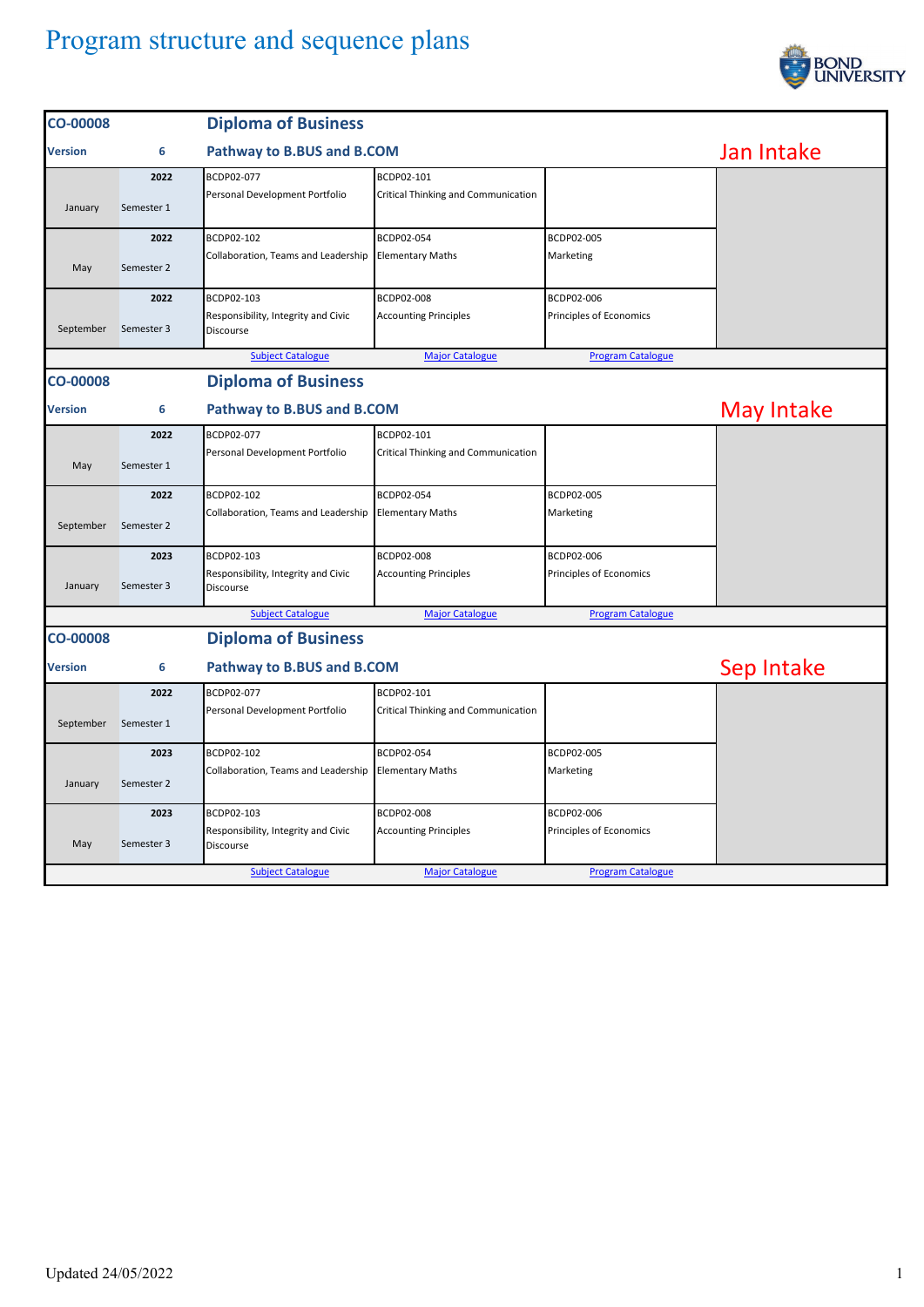

| 6<br>2022<br>Semester 1         | BCDP02-077                                                                                 |                                                                      |                                                                              | Jan Intake               |
|---------------------------------|--------------------------------------------------------------------------------------------|----------------------------------------------------------------------|------------------------------------------------------------------------------|--------------------------|
|                                 |                                                                                            | Pathway to B.BUS and B.COM                                           |                                                                              |                          |
|                                 | Personal Development Portfolio                                                             | BCDP02-101<br>Critical Thinking and Communication                    |                                                                              |                          |
| 2022<br>Semester 2              | BCDP02-102<br>Collaboration, Teams and Leadership                                          | BCDP02-054                                                           | BCDP02-005<br>Marketing                                                      |                          |
| 2022<br>Semester 3              | BCDP02-103<br>Responsibility, Integrity and Civic<br>Discourse                             | BCDP02-008<br><b>Accounting Principles</b>                           | BCDP02-006<br>Principles of Economics                                        |                          |
|                                 |                                                                                            |                                                                      |                                                                              |                          |
|                                 |                                                                                            |                                                                      |                                                                              |                          |
| Pathway to B.BUS and B.COM<br>6 |                                                                                            |                                                                      |                                                                              | May Intake               |
| 2022<br>Semester 1              | BCDP02-077<br>Personal Development Portfolio                                               | BCDP02-101<br>Critical Thinking and Communication                    |                                                                              |                          |
| 2022<br>Semester 2              | BCDP02-102<br>Collaboration, Teams and Leadership                                          | BCDP02-054                                                           | BCDP02-005<br>Marketing                                                      |                          |
| 2023<br>Semester 3              | BCDP02-103<br>Responsibility, Integrity and Civic<br>Discourse                             | BCDP02-008<br><b>Accounting Principles</b>                           | BCDP02-006<br>Principles of Economics                                        |                          |
|                                 | <b>Subject Catalogue</b>                                                                   | <b>Major Catalogue</b>                                               | <b>Program Catalogue</b>                                                     |                          |
|                                 | <b>Diploma of Business</b>                                                                 |                                                                      |                                                                              |                          |
| Pathway to B.BUS and B.COM<br>6 |                                                                                            |                                                                      |                                                                              | Sep Intake               |
| 2022<br>Semester 1              | BCDP02-077<br>Personal Development Portfolio                                               | BCDP02-101<br>Critical Thinking and Communication                    |                                                                              |                          |
| 2023<br>Semester 2              | BCDP02-102<br>Collaboration, Teams and Leadership                                          | BCDP02-054<br><b>Elementary Maths</b>                                | BCDP02-005<br>Marketing                                                      |                          |
| 2023<br>Semester 3              | BCDP02-103<br>Responsibility, Integrity and Civic<br>Discourse<br><b>Subject Catalogue</b> | BCDP02-008<br><b>Accounting Principles</b><br><b>Major Catalogue</b> | BCDP02-006<br>Principles of Economics<br><b>Program Catalogue</b>            |                          |
|                                 |                                                                                            | <b>Subject Catalogue</b><br><b>Diploma of Business</b>               | <b>Elementary Maths</b><br><b>Major Catalogue</b><br><b>Elementary Maths</b> | <b>Program Catalogue</b> |